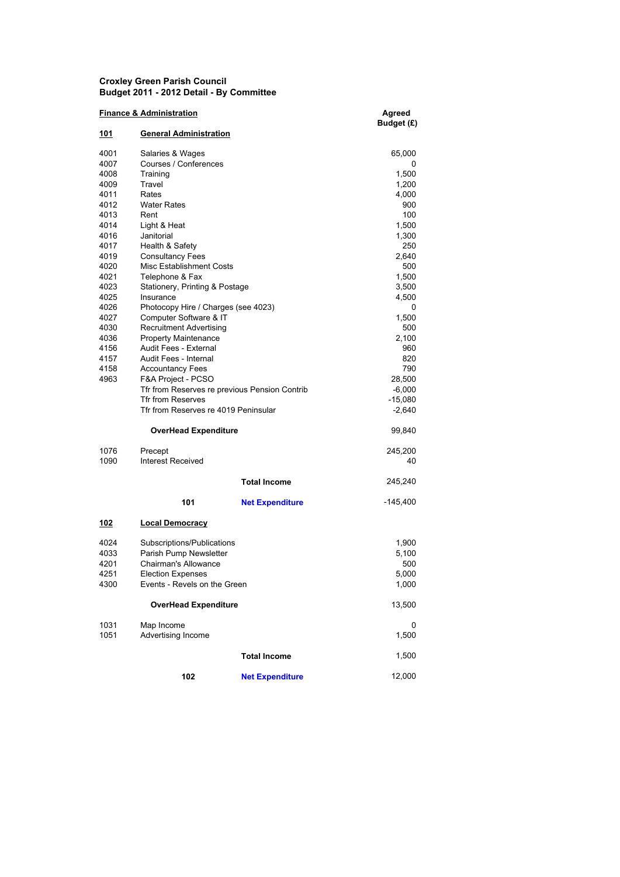## **Croxley Green Parish Council Budget 2011 - 2012 Detail - By Committee**

| <b>Finance &amp; Administration</b> | Agreed                                        |                        |              |
|-------------------------------------|-----------------------------------------------|------------------------|--------------|
| 101                                 | <b>General Administration</b>                 |                        | Budget (£)   |
| 4001                                | Salaries & Wages                              | 65,000                 |              |
| 4007                                | Courses / Conferences                         |                        | 0            |
| 4008                                | Training                                      |                        | 1,500        |
| 4009                                | Travel                                        |                        | 1,200        |
| 4011                                | Rates                                         |                        | 4,000        |
| 4012                                | <b>Water Rates</b>                            |                        | 900          |
| 4013                                | Rent                                          |                        | 100          |
| 4014                                | Light & Heat<br>Janitorial                    |                        | 1,500        |
| 4016<br>4017                        | Health & Safety                               |                        | 1,300<br>250 |
| 4019                                | <b>Consultancy Fees</b>                       |                        | 2,640        |
| 4020                                | Misc Establishment Costs                      |                        | 500          |
| 4021                                | Telephone & Fax                               |                        | 1,500        |
| 4023                                | Stationery, Printing & Postage                |                        | 3,500        |
| 4025                                | Insurance                                     |                        | 4,500        |
| 4026                                | Photocopy Hire / Charges (see 4023)           |                        | 0            |
| 4027                                | Computer Software & IT                        |                        | 1,500        |
| 4030                                | <b>Recruitment Advertising</b>                |                        | 500          |
| 4036                                | <b>Property Maintenance</b>                   |                        | 2,100        |
| 4156                                | Audit Fees - External                         |                        | 960          |
| 4157                                | Audit Fees - Internal                         |                        | 820          |
| 4158                                | <b>Accountancy Fees</b>                       |                        | 790          |
| 4963                                | F&A Project - PCSO                            |                        | 28,500       |
|                                     | Tfr from Reserves re previous Pension Contrib |                        | $-6,000$     |
|                                     | <b>Tfr from Reserves</b>                      |                        | -15,080      |
|                                     | Tfr from Reserves re 4019 Peninsular          |                        | $-2,640$     |
|                                     | OverHead Expenditure                          |                        | 99,840       |
| 1076                                | Precept                                       |                        | 245,200      |
| 1090                                | <b>Interest Received</b>                      |                        | 40           |
|                                     |                                               | <b>Total Income</b>    | 245,240      |
|                                     | 101                                           | <b>Net Expenditure</b> | -145,400     |
| <u> 102</u>                         | <b>Local Democracy</b>                        |                        |              |
| 4024                                | Subscriptions/Publications                    |                        | 1,900        |
| 4033                                | Parish Pump Newsletter                        |                        | 5,100        |
| 4201                                | <b>Chairman's Allowance</b>                   |                        | 500          |
| 4251                                | <b>Election Expenses</b>                      |                        | 5,000        |
| 4300                                | Events - Revels on the Green                  |                        | 1,000        |
| <b>OverHead Expenditure</b>         |                                               |                        | 13,500       |
| 1031                                | Map Income                                    |                        | 0            |
| 1051                                | Advertising Income                            |                        | 1,500        |
|                                     |                                               |                        |              |
|                                     |                                               | <b>Total Income</b>    | 1,500        |
|                                     | 102                                           | <b>Net Expenditure</b> | 12,000       |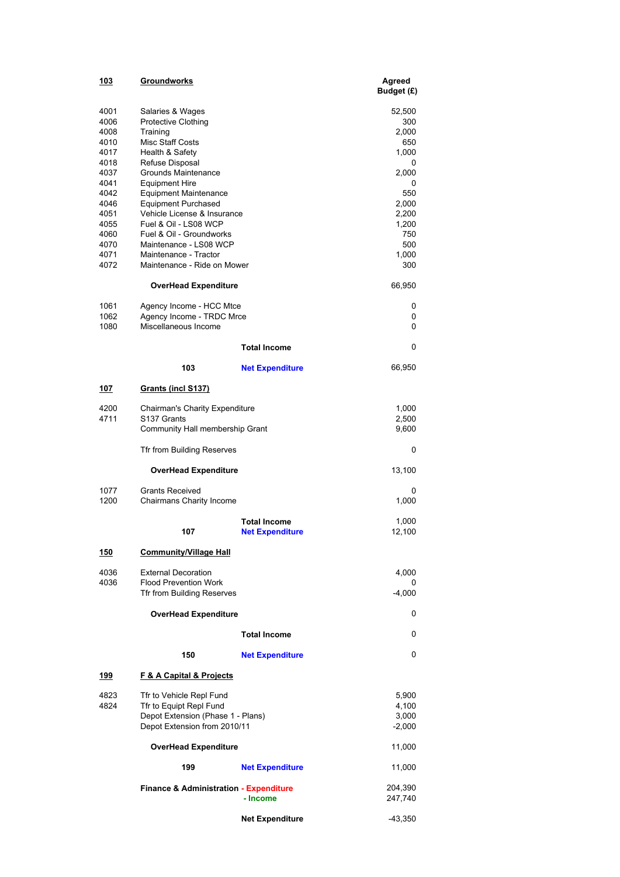| <u> 103</u>                                                                                                                  | Groundworks                                                                                                                                                                                                                                                                                                                                                                                                                             |                                               | Agreed<br>Budget (£)                                                                                                                |
|------------------------------------------------------------------------------------------------------------------------------|-----------------------------------------------------------------------------------------------------------------------------------------------------------------------------------------------------------------------------------------------------------------------------------------------------------------------------------------------------------------------------------------------------------------------------------------|-----------------------------------------------|-------------------------------------------------------------------------------------------------------------------------------------|
| 4001<br>4006<br>4008<br>4010<br>4017<br>4018<br>4037<br>4041<br>4042<br>4046<br>4051<br>4055<br>4060<br>4070<br>4071<br>4072 | Salaries & Wages<br><b>Protective Clothing</b><br>Training<br><b>Misc Staff Costs</b><br>Health & Safety<br>Refuse Disposal<br>Grounds Maintenance<br><b>Equipment Hire</b><br><b>Equipment Maintenance</b><br><b>Equipment Purchased</b><br>Vehicle License & Insurance<br>Fuel & Oil - LS08 WCP<br>Fuel & Oil - Groundworks<br>Maintenance - LS08 WCP<br>Maintenance - Tractor<br>Maintenance - Ride on Mower<br>OverHead Expenditure |                                               | 52,500<br>300<br>2,000<br>650<br>1,000<br>0<br>2,000<br>0<br>550<br>2,000<br>2,200<br>1,200<br>750<br>500<br>1,000<br>300<br>66,950 |
| 1061<br>1062<br>1080                                                                                                         | Agency Income - HCC Mtce<br>Agency Income - TRDC Mrce<br>Miscellaneous Income                                                                                                                                                                                                                                                                                                                                                           |                                               | 0<br>0<br>0                                                                                                                         |
|                                                                                                                              |                                                                                                                                                                                                                                                                                                                                                                                                                                         | <b>Total Income</b>                           | 0                                                                                                                                   |
|                                                                                                                              | 103                                                                                                                                                                                                                                                                                                                                                                                                                                     | <b>Net Expenditure</b>                        | 66,950                                                                                                                              |
| <u> 107</u>                                                                                                                  | Grants (incl S137)                                                                                                                                                                                                                                                                                                                                                                                                                      |                                               |                                                                                                                                     |
| 4200<br><b>Chairman's Charity Expenditure</b><br>4711<br>S <sub>137</sub> Grants<br>Community Hall membership Grant          |                                                                                                                                                                                                                                                                                                                                                                                                                                         |                                               | 1,000<br>2,500<br>9,600                                                                                                             |
|                                                                                                                              | Tfr from Building Reserves                                                                                                                                                                                                                                                                                                                                                                                                              |                                               | 0                                                                                                                                   |
|                                                                                                                              | <b>OverHead Expenditure</b>                                                                                                                                                                                                                                                                                                                                                                                                             |                                               | 13,100                                                                                                                              |
| 1077<br>1200                                                                                                                 | <b>Grants Received</b><br>Chairmans Charity Income                                                                                                                                                                                                                                                                                                                                                                                      |                                               | 0<br>1,000                                                                                                                          |
|                                                                                                                              | 107                                                                                                                                                                                                                                                                                                                                                                                                                                     | <b>Total Income</b><br><b>Net Expenditure</b> | 1,000<br>12,100                                                                                                                     |
| <u>150</u>                                                                                                                   | <b>Community/Village Hall</b>                                                                                                                                                                                                                                                                                                                                                                                                           |                                               |                                                                                                                                     |
| 4036<br>4036                                                                                                                 | <b>External Decoration</b><br><b>Flood Prevention Work</b><br>Tfr from Building Reserves                                                                                                                                                                                                                                                                                                                                                |                                               | 4,000<br>0<br>$-4,000$                                                                                                              |
|                                                                                                                              | <b>OverHead Expenditure</b>                                                                                                                                                                                                                                                                                                                                                                                                             |                                               | 0                                                                                                                                   |
|                                                                                                                              |                                                                                                                                                                                                                                                                                                                                                                                                                                         | <b>Total Income</b>                           | 0                                                                                                                                   |
|                                                                                                                              | 150                                                                                                                                                                                                                                                                                                                                                                                                                                     | <b>Net Expenditure</b>                        | 0                                                                                                                                   |
| <u> 199</u>                                                                                                                  | <b>F &amp; A Capital &amp; Projects</b>                                                                                                                                                                                                                                                                                                                                                                                                 |                                               |                                                                                                                                     |
| 4823<br>4824                                                                                                                 | Tfr to Vehicle Repl Fund<br>Tfr to Equipt Repl Fund<br>Depot Extension (Phase 1 - Plans)<br>Depot Extension from 2010/11                                                                                                                                                                                                                                                                                                                |                                               | 5,900<br>4,100<br>3,000<br>$-2,000$                                                                                                 |
| <b>OverHead Expenditure</b>                                                                                                  |                                                                                                                                                                                                                                                                                                                                                                                                                                         |                                               | 11,000                                                                                                                              |
|                                                                                                                              | 199                                                                                                                                                                                                                                                                                                                                                                                                                                     | <b>Net Expenditure</b>                        | 11,000                                                                                                                              |
|                                                                                                                              | <b>Finance &amp; Administration - Expenditure</b>                                                                                                                                                                                                                                                                                                                                                                                       | - Income                                      | 204,390<br>247,740                                                                                                                  |
|                                                                                                                              |                                                                                                                                                                                                                                                                                                                                                                                                                                         | <b>Net Expenditure</b>                        | -43,350                                                                                                                             |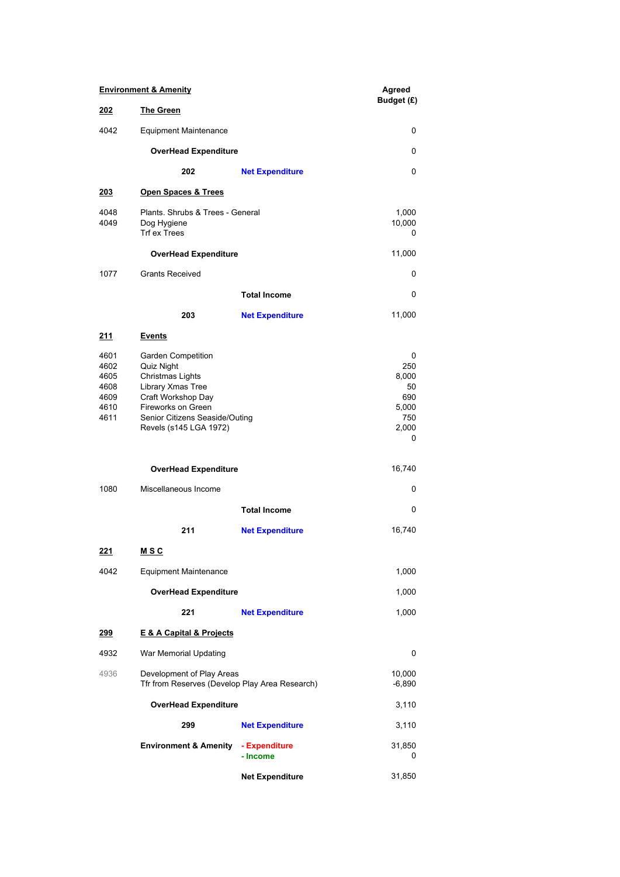| <b>Environment &amp; Amenity</b>                     |                                                                                                                                                                                   |                           | Agreed<br>Budget (£)                                         |
|------------------------------------------------------|-----------------------------------------------------------------------------------------------------------------------------------------------------------------------------------|---------------------------|--------------------------------------------------------------|
| <u> 202</u>                                          | <u>The Green</u>                                                                                                                                                                  |                           |                                                              |
| 4042                                                 | <b>Equipment Maintenance</b>                                                                                                                                                      | 0                         |                                                              |
|                                                      | <b>OverHead Expenditure</b>                                                                                                                                                       |                           | 0                                                            |
|                                                      | 202                                                                                                                                                                               | <b>Net Expenditure</b>    | 0                                                            |
| <u> 203</u>                                          | Open Spaces & Trees                                                                                                                                                               |                           |                                                              |
| 4048<br>4049                                         | Plants. Shrubs & Trees - General<br>Dog Hygiene<br><b>Trf ex Trees</b>                                                                                                            |                           | 1,000<br>10,000<br>0                                         |
|                                                      | <b>OverHead Expenditure</b>                                                                                                                                                       |                           | 11,000                                                       |
| 1077                                                 | <b>Grants Received</b>                                                                                                                                                            |                           | 0                                                            |
|                                                      |                                                                                                                                                                                   | <b>Total Income</b>       | 0                                                            |
|                                                      | 203                                                                                                                                                                               | <b>Net Expenditure</b>    | 11,000                                                       |
| 211                                                  | <u>Events</u>                                                                                                                                                                     |                           |                                                              |
| 4601<br>4602<br>4605<br>4608<br>4609<br>4610<br>4611 | Garden Competition<br>Quiz Night<br>Christmas Lights<br>Library Xmas Tree<br>Craft Workshop Day<br>Fireworks on Green<br>Senior Citizens Seaside/Outing<br>Revels (s145 LGA 1972) |                           | 0<br>250<br>8,000<br>50<br>690<br>5,000<br>750<br>2,000<br>0 |
| <b>OverHead Expenditure</b>                          |                                                                                                                                                                                   |                           | 16,740                                                       |
| 1080                                                 | Miscellaneous Income                                                                                                                                                              |                           | 0                                                            |
|                                                      |                                                                                                                                                                                   | <b>Total Income</b>       | 0                                                            |
|                                                      | 211                                                                                                                                                                               | <b>Net Expenditure</b>    | 16,740                                                       |
| <u> 221</u>                                          | <u>MSC</u>                                                                                                                                                                        |                           |                                                              |
| 4042                                                 | <b>Equipment Maintenance</b>                                                                                                                                                      |                           | 1,000                                                        |
|                                                      | <b>OverHead Expenditure</b>                                                                                                                                                       |                           | 1,000                                                        |
|                                                      | 221                                                                                                                                                                               | <b>Net Expenditure</b>    | 1,000                                                        |
| <u> 299</u>                                          | <b>E &amp; A Capital &amp; Projects</b>                                                                                                                                           |                           |                                                              |
| 4932                                                 | War Memorial Updating                                                                                                                                                             |                           | 0                                                            |
| 4936                                                 | Development of Play Areas<br>Tfr from Reserves (Develop Play Area Research)                                                                                                       |                           | 10,000<br>$-6,890$                                           |
| <b>OverHead Expenditure</b>                          |                                                                                                                                                                                   |                           | 3,110                                                        |
|                                                      | 299                                                                                                                                                                               | <b>Net Expenditure</b>    | 3,110                                                        |
|                                                      | <b>Environment &amp; Amenity</b>                                                                                                                                                  | - Expenditure<br>- Income | 31,850<br>0                                                  |
|                                                      |                                                                                                                                                                                   | <b>Net Expenditure</b>    | 31,850                                                       |